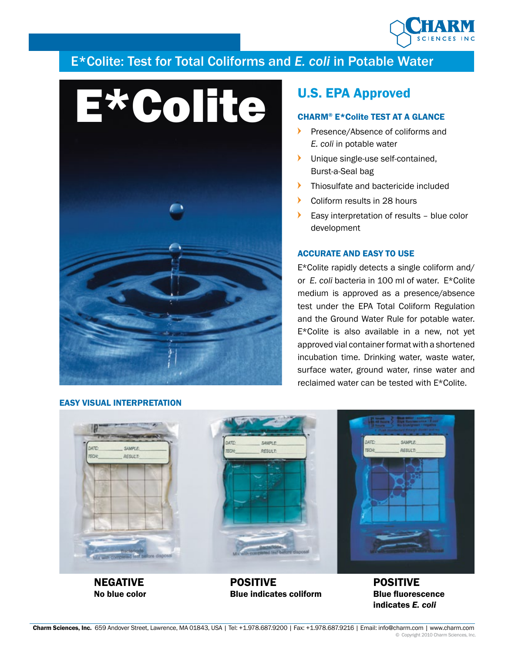

# E\*Colite: Test for Total Coliforms and *E. coli* in Potable Water



# CHARM® E\*Colite TEST AT A GLANCE

- Presence/Absence of coliforms and *E. coli* in potable water
- **I** Unique single-use self-contained, Burst-a-Seal bag
- **Thiosulfate and bactericide included**
- Coliform results in 28 hours
- Easy interpretation of results blue color development

# ACCURATE AND EASY TO USE

E\*Colite rapidly detects a single coliform and/ or *E. coli* bacteria in 100 ml of water. E\*Colite medium is approved as a presence/absence test under the EPA Total Coliform Regulation and the Ground Water Rule for potable water. E\*Colite is also available in a new, not yet approved vial container format with a shortened incubation time. Drinking water, waste water, surface water, ground water, rinse water and reclaimed water can be tested with E\*Colite.



NEGATIVE No blue color

EASY VISUAL INTERPRETATION

POSITIVE Blue indicates coliform

POSITIVE Blue fluorescence indicates *E. coli*

#### Charm Sciences, Inc. 659 Andover Street, Lawrence, MA 01843, USA | Tel: +1.978.687.9200 | Fax: +1.978.687.9216 | Email: info@charm.com | www.charm.com © Copyright 2010 Charm Sciences, Inc.